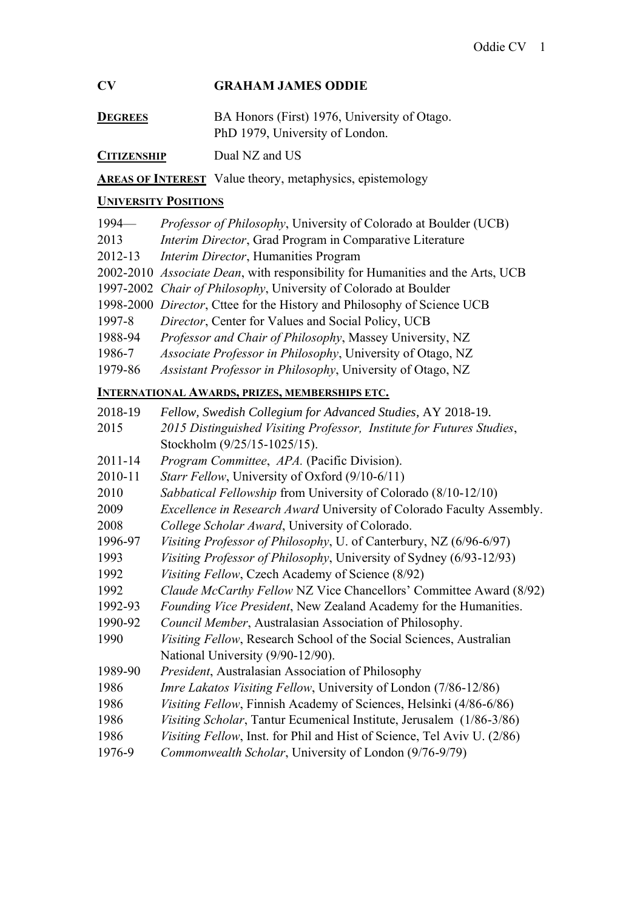# **CV GRAHAM JAMES ODDIE**

**DEGREES** BA Honors (First) 1976, University of Otago. PhD 1979, University of London.

**CITIZENSHIP** Dual NZ and US

**AREAS OF INTEREST** Value theory, metaphysics, epistemology

# **UNIVERSITY POSITIONS**

| $1994-$ | <i>Professor of Philosophy</i> , University of Colorado at Boulder (UCB)               |
|---------|----------------------------------------------------------------------------------------|
| 2013    | Interim Director, Grad Program in Comparative Literature                               |
| 2012-13 | Interim Director, Humanities Program                                                   |
|         | 2002-2010 <i>Associate Dean</i> , with responsibility for Humanities and the Arts, UCB |
|         | 1997-2002 Chair of Philosophy, University of Colorado at Boulder                       |
|         | 1998-2000 Director, Cttee for the History and Philosophy of Science UCB                |
| 1997-8  | Director, Center for Values and Social Policy, UCB                                     |
| 1988-94 | Professor and Chair of Philosophy, Massey University, NZ                               |
| 1986-7  | Associate Professor in Philosophy, University of Otago, NZ                             |
| 1979-86 | Assistant Professor in Philosophy, University of Otago, NZ                             |
|         |                                                                                        |

# **INTERNATIONAL AWARDS, PRIZES, MEMBERSHIPS ETC.**

| 2018-19 | Fellow, Swedish Collegium for Advanced Studies, AY 2018-19.             |
|---------|-------------------------------------------------------------------------|
| 2015    | 2015 Distinguished Visiting Professor, Institute for Futures Studies,   |
|         | Stockholm (9/25/15-1025/15).                                            |
| 2011-14 | Program Committee, APA. (Pacific Division).                             |
| 2010-11 | Starr Fellow, University of Oxford (9/10-6/11)                          |
| 2010    | Sabbatical Fellowship from University of Colorado (8/10-12/10)          |
| 2009    | Excellence in Research Award University of Colorado Faculty Assembly.   |
| 2008    | College Scholar Award, University of Colorado.                          |
| 1996-97 | Visiting Professor of Philosophy, U. of Canterbury, NZ (6/96-6/97)      |
| 1993    | Visiting Professor of Philosophy, University of Sydney (6/93-12/93)     |
| 1992    | Visiting Fellow, Czech Academy of Science (8/92)                        |
| 1992    | Claude McCarthy Fellow NZ Vice Chancellors' Committee Award (8/92)      |
| 1992-93 | Founding Vice President, New Zealand Academy for the Humanities.        |
| 1990-92 | Council Member, Australasian Association of Philosophy.                 |
| 1990    | Visiting Fellow, Research School of the Social Sciences, Australian     |
|         | National University (9/90-12/90).                                       |
| 1989-90 | President, Australasian Association of Philosophy                       |
| 1986    | Imre Lakatos Visiting Fellow, University of London (7/86-12/86)         |
| 1986    | Visiting Fellow, Finnish Academy of Sciences, Helsinki (4/86-6/86)      |
| 1986    | Visiting Scholar, Tantur Ecumenical Institute, Jerusalem (1/86-3/86)    |
| 1986    | Visiting Fellow, Inst. for Phil and Hist of Science, Tel Aviv U. (2/86) |
| 1976-9  | Commonwealth Scholar, University of London (9/76-9/79)                  |
|         |                                                                         |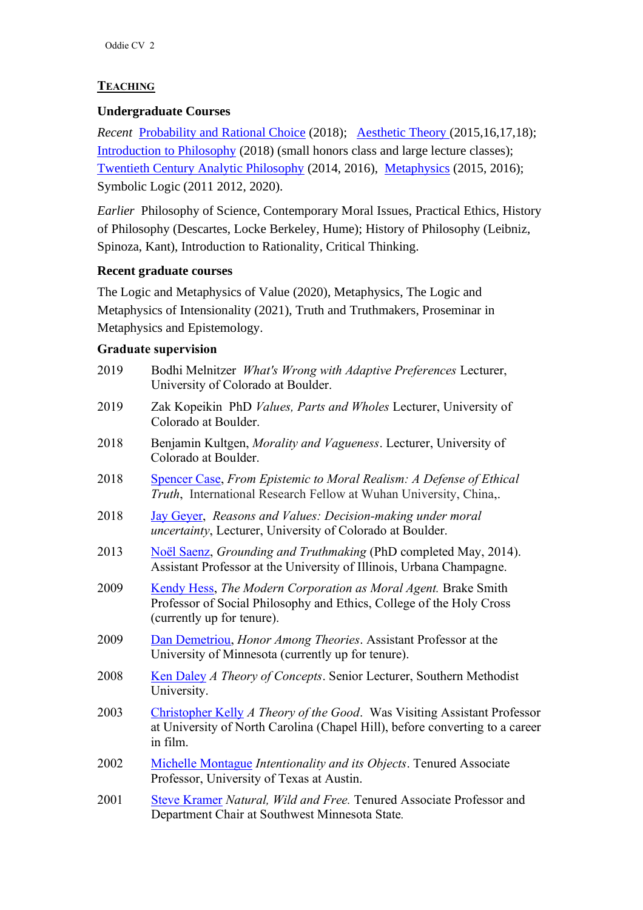# **TEACHING**

### **Undergraduate Courses**

*Recent* [Probability and Rational Choice](https://canvas.colorado.edu/courses/11445) (2018); [Aesthetic Theory](http://www.gjoddie.com/AestheticTheory/) (2015,16,17,18); [Introduction to Philosophy](http://www.gjoddie.com/IntroPhil/index.html) (2018) (small honors class and large lecture classes); [Twentieth Century Analytic Philosophy](http://spot.colorado.edu/~oddie/C20thPHIL/Home.html) (2014, 2016), [Metaphysics](http://www.gjoddie.com/Metaphysics/) (2015, 2016); Symbolic Logic (2011 2012, 2020).

*Earlier* Philosophy of Science, Contemporary Moral Issues, Practical Ethics, History of Philosophy (Descartes, Locke Berkeley, Hume); History of Philosophy (Leibniz, Spinoza, Kant), Introduction to Rationality, Critical Thinking.

### **Recent graduate courses**

The Logic and Metaphysics of Value (2020), Metaphysics, The Logic and Metaphysics of Intensionality (2021), Truth and Truthmakers, Proseminar in Metaphysics and Epistemology.

### **Graduate supervision**

| 2019 | Bodhi Melnitzer What's Wrong with Adaptive Preferences Lecturer,<br>University of Colorado at Boulder.                                                               |
|------|----------------------------------------------------------------------------------------------------------------------------------------------------------------------|
| 2019 | Zak Kopeikin PhD Values, Parts and Wholes Lecturer, University of<br>Colorado at Boulder.                                                                            |
| 2018 | Benjamin Kultgen, Morality and Vagueness. Lecturer, University of<br>Colorado at Boulder.                                                                            |
| 2018 | <b>Spencer Case, From Epistemic to Moral Realism: A Defense of Ethical</b><br>Truth, International Research Fellow at Wuhan University, China,.                      |
| 2018 | <b>Jay Geyer, Reasons and Values: Decision-making under moral</b><br><i>uncertainty</i> , Lecturer, University of Colorado at Boulder.                               |
| 2013 | Noël Saenz, Grounding and Truthmaking (PhD completed May, 2014).<br>Assistant Professor at the University of Illinois, Urbana Champagne.                             |
| 2009 | Kendy Hess, The Modern Corporation as Moral Agent. Brake Smith<br>Professor of Social Philosophy and Ethics, College of the Holy Cross<br>(currently up for tenure). |
| 2009 | Dan Demetriou, Honor Among Theories. Assistant Professor at the<br>University of Minnesota (currently up for tenure).                                                |
| 2008 | Ken Daley A Theory of Concepts. Senior Lecturer, Southern Methodist<br>University.                                                                                   |
| 2003 | Christopher Kelly A Theory of the Good. Was Visiting Assistant Professor<br>at University of North Carolina (Chapel Hill), before converting to a career<br>in film. |
| 2002 | Michelle Montague Intentionality and its Objects. Tenured Associate<br>Professor, University of Texas at Austin.                                                     |
| 2001 | Steve Kramer Natural, Wild and Free. Tenured Associate Professor and<br>Department Chair at Southwest Minnesota State.                                               |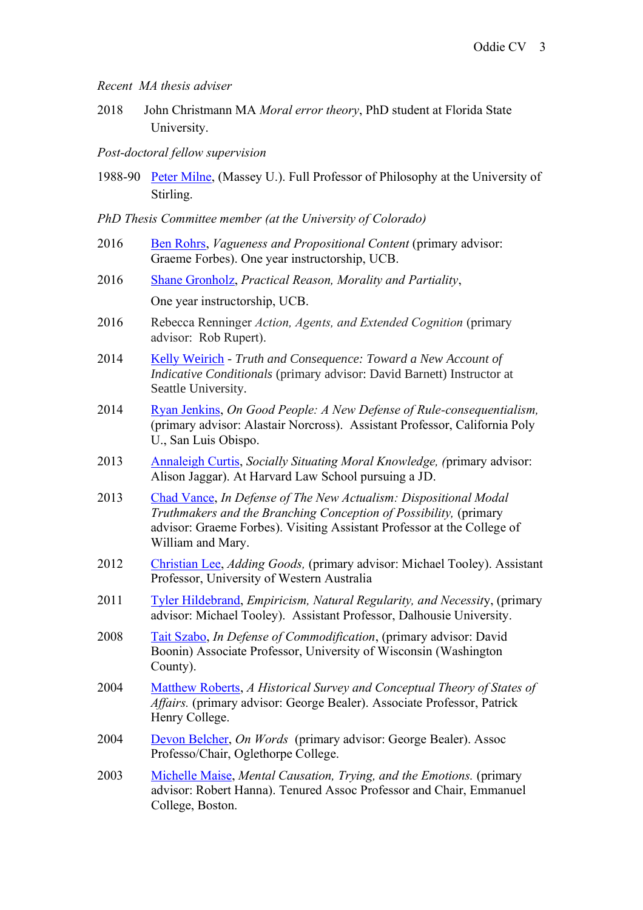*Recent MA thesis adviser*

2018 John Christmann MA *Moral error theory*, PhD student at Florida State University.

#### *Post-doctoral fellow supervision*

- 1988-90 [Peter Milne,](http://rms.stir.ac.uk/converis-stirling/person/11538) (Massey U.). Full Professor of Philosophy at the University of Stirling.
- *PhD Thesis Committee member (at the University of Colorado)*
- 2016 [Ben Rohrs,](https://colorado.academia.edu/BenjaminRohrs) *Vagueness and Propositional Content* (primary advisor: Graeme Forbes). One year instructorship, UCB.
- 2016 [Shane Gronholz,](https://trivialorfalse.com/) *Practical Reason, Morality and Partiality*, One year instructorship, UCB.
- 2016 Rebecca Renninger *Action, Agents, and Extended Cognition* (primary advisor: Rob Rupert).
- 2014 [Kelly Weirich](https://sites.google.com/site/kellymarieweirich/) *Truth and Consequence: Toward a New Account of Indicative Conditionals* (primary advisor: David Barnett) Instructor at Seattle University.
- 2014 [Ryan Jenkins,](http://colorado.academia.edu/RyanJenkins) *On Good People: A New Defense of Rule-consequentialism,*  (primary advisor: Alastair Norcross).Assistant Professor, California Poly U., San Luis Obispo.
- 2013 [Annaleigh Curtis,](http://harvard.academia.edu/AnnaleighCurtis) *Socially Situating Moral Knowledge, (*primary advisor: Alison Jaggar). At Harvard Law School pursuing a JD.
- 2013 [Chad Vance,](http://www.wm.edu/as/philosophy/people/faculty/vance_c.php) *In Defense of The New Actualism: Dispositional Modal Truthmakers and the Branching Conception of Possibility,* (primary advisor: Graeme Forbes). Visiting Assistant Professor at the College of William and Mary.
- 2012 [Christian Lee,](http://www.humanities.uwa.edu.au/contact/staff-profiles?type=profile&dn=cn%3DChristian%20Lee%2Cou%3DPhilosophy%2Cou%3DSchool%20of%20Humanities%2Cou%3DFaculty%20of%20Arts%2Cou%3DFaculties%2Co%3DThe%20University%20of%20Western%20Australia) *Adding Goods,* (primary advisor: Michael Tooley). Assistant Professor, University of Western Australia
- 2011 [Tyler Hildebrand,](https://sites.google.com/site/hildebtw/) *Empiricism, Natural Regularity, and Necessit*y, (primary advisor: Michael Tooley). Assistant Professor, Dalhousie University.
- 2008 [Tait Szabo,](http://washington.uwc.edu/bio/tait-szabo) *In Defense of Commodification*, (primary advisor: David Boonin) Associate Professor, University of Wisconsin (Washington County).
- 2004 [Matthew Roberts,](http://www.phc.edu/MERoberts.php) *A Historical Survey and Conceptual Theory of States of Affairs.* (primary advisor: George Bealer). Associate Professor, Patrick Henry College.
- 2004 [Devon Belcher,](http://www.oglethorpe.edu/academics/undergraduate/division_I/faculty.asp) *On Words* (primary advisor: George Bealer). Assoc Professo/Chair, Oglethorpe College.
- 2003 [Michelle Maise,](http://www.emmanuel.edu/academics/our-faculty/michelle-maiese.html) *Mental Causation, Trying, and the Emotions.* (primary advisor: Robert Hanna). Tenured Assoc Professor and Chair, Emmanuel College, Boston.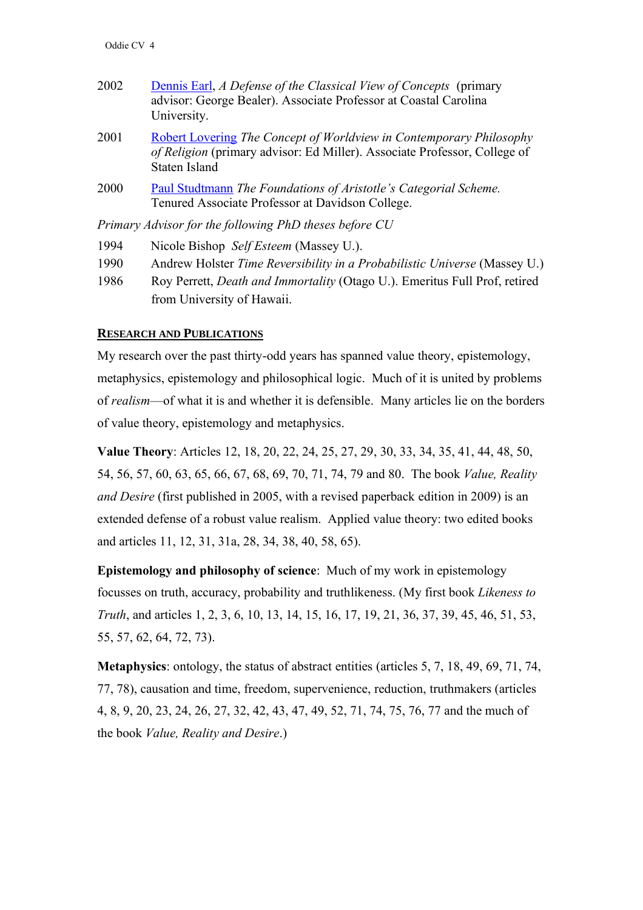| 2002 | Dennis Earl, A Defense of the Classical View of Concepts (primary<br>advisor: George Bealer). Associate Professor at Coastal Carolina<br>University.                     |
|------|--------------------------------------------------------------------------------------------------------------------------------------------------------------------------|
| 2001 | <b>Robert Lovering The Concept of Worldview in Contemporary Philosophy</b><br>of Religion (primary advisor: Ed Miller). Associate Professor, College of<br>Staten Island |
| 2000 | <b>Paul Studtmann</b> The Foundations of Aristotle's Categorial Scheme.<br>Tenured Associate Professor at Davidson College.                                              |
|      | Primary Advisor for the following PhD theses before CU                                                                                                                   |
| 1994 | Nicole Bishop Self Esteem (Massey U.).                                                                                                                                   |
| 1990 | Andrew Holster Time Reversibility in a Probabilistic Universe (Massey U.)                                                                                                |
| 100c | $\mathbf{H}$ תורות ומודרות המוניקה מודרות המוניקה מ                                                                                                                      |

1986 Roy Perrett, *Death and Immortality* (Otago U.). Emeritus Full Prof, retired from University of Hawaii.

#### **RESEARCH AND PUBLICATIONS**

My research over the past thirty-odd years has spanned value theory, epistemology, metaphysics, epistemology and philosophical logic. Much of it is united by problems of *realism*—of what it is and whether it is defensible. Many articles lie on the borders of value theory, epistemology and metaphysics.

**Value Theory**: Articles 12, 18, 20, 22, 24, 25, 27, 29, 30, 33, 34, 35, 41, 44, 48, 50, 54, 56, 57, 60, 63, 65, 66, 67, 68, 69, 70, 71, 74, 79 and 80. The book *Value, Reality and Desire* (first published in 2005, with a revised paperback edition in 2009) is an extended defense of a robust value realism. Applied value theory: two edited books and articles 11, 12, 31, 31a, 28, 34, 38, 40, 58, 65).

**Epistemology and philosophy of science**: Much of my work in epistemology focusses on truth, accuracy, probability and truthlikeness. (My first book *Likeness to Truth*, and articles 1, 2, 3, 6, 10, 13, 14, 15, 16, 17, 19, 21, 36, 37, 39, 45, 46, 51, 53, 55, 57, 62, 64, 72, 73).

**Metaphysics**: ontology, the status of abstract entities (articles 5, 7, 18, 49, 69, 71, 74, 77, 78), causation and time, freedom, supervenience, reduction, truthmakers (articles 4, 8, 9, 20, 23, 24, 26, 27, 32, 42, 43, 47, 49, 52, 71, 74, 75, 76, 77 and the much of the book *Value, Reality and Desire*.)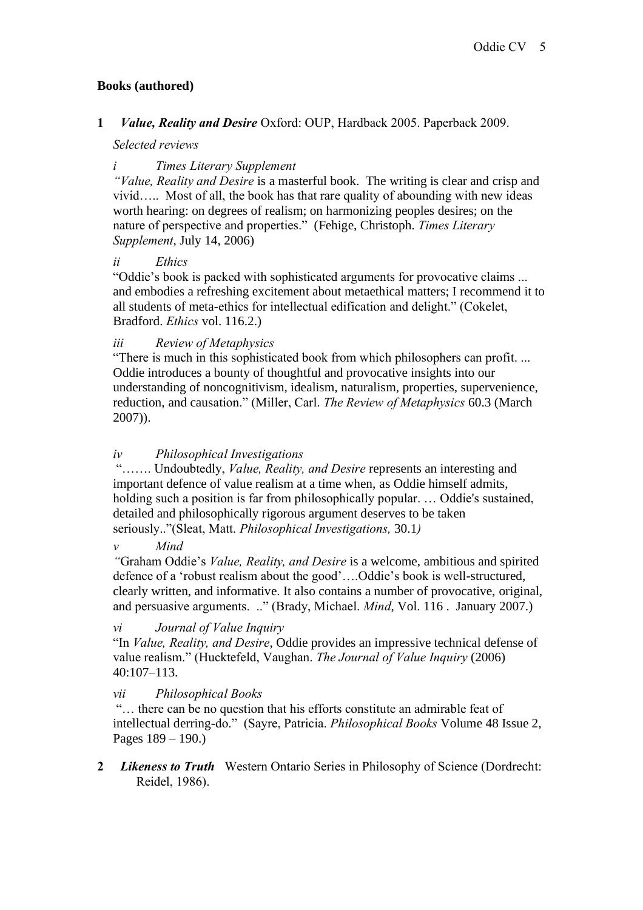## **Books (authored)**

**1** *Value, Reality and Desire* Oxford: OUP, Hardback 2005. Paperback 2009.

## *Selected reviews*

# *i Times Literary Supplement*

*"Value, Reality and Desire* is a masterful book. The writing is clear and crisp and vivid….. Most of all, the book has that rare quality of abounding with new ideas worth hearing: on degrees of realism; on harmonizing peoples desires; on the nature of perspective and properties." (Fehige, Christoph. *Times Literary Supplement*, July 14, 2006)

*ii Ethics*

"Oddie's book is packed with sophisticated arguments for provocative claims ... and embodies a refreshing excitement about metaethical matters; I recommend it to all students of meta-ethics for intellectual edification and delight." (Cokelet, Bradford. *Ethics* vol. 116.2.)

*iii Review of Metaphysics*

"There is much in this sophisticated book from which philosophers can profit. ... Oddie introduces a bounty of thoughtful and provocative insights into our understanding of noncognitivism, idealism, naturalism, properties, supervenience, reduction, and causation." (Miller, Carl. *The Review of Metaphysics* 60.3 (March 2007)).

# *iv Philosophical Investigations*

"……. Undoubtedly, *Value, Reality, and Desire* represents an interesting and important defence of value realism at a time when, as Oddie himself admits, holding such a position is far from philosophically popular. ... Oddie's sustained, detailed and philosophically rigorous argument deserves to be taken seriously.."(Sleat, Matt. *Philosophical Investigations,* 30.1*)*

*v Mind*

*"*Graham Oddie's *Value, Reality, and Desire* is a welcome, ambitious and spirited defence of a 'robust realism about the good'….Oddie's book is well-structured, clearly written, and informative. It also contains a number of provocative, original, and persuasive arguments. .." (Brady, Michael. *Mind*, Vol. 116 . January 2007.)

*vi Journal of Value Inquiry*

"In *Value, Reality, and Desire*, Oddie provides an impressive technical defense of value realism." (Hucktefeld, Vaughan. *The Journal of Value Inquiry* (2006) 40:107–113.

# *vii Philosophical Books*

"… there can be no question that his efforts constitute an admirable feat of intellectual derring-do." (Sayre, Patricia. *Philosophical Books* Volume 48 Issue 2, Pages 189 – 190.)

**2** *Likeness to Truth* Western Ontario Series in Philosophy of Science (Dordrecht: Reidel, 1986).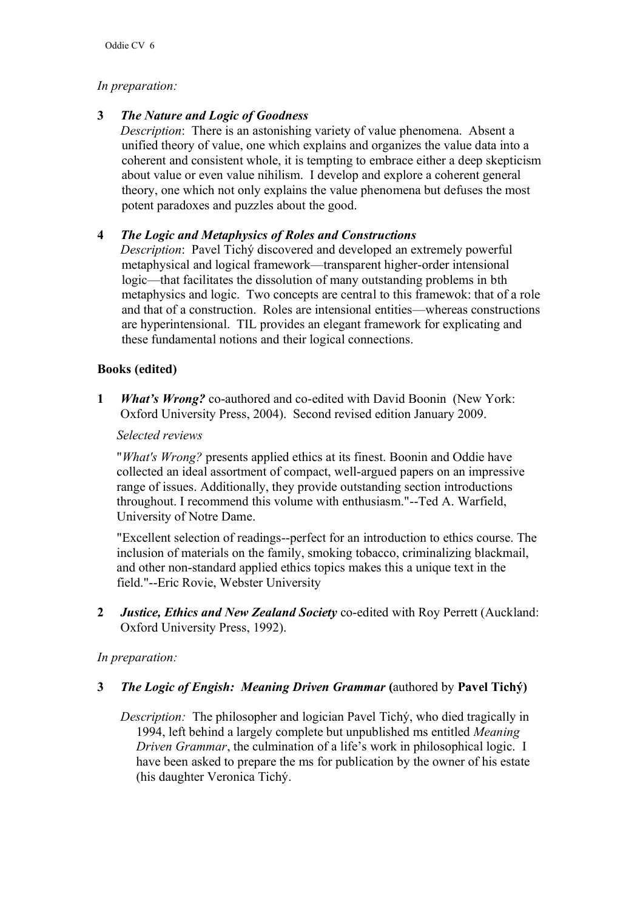#### *In preparation:*

### **3** *The Nature and Logic of Goodness*

*Description*: There is an astonishing variety of value phenomena. Absent a unified theory of value, one which explains and organizes the value data into a coherent and consistent whole, it is tempting to embrace either a deep skepticism about value or even value nihilism. I develop and explore a coherent general theory, one which not only explains the value phenomena but defuses the most potent paradoxes and puzzles about the good.

## **4** *The Logic and Metaphysics of Roles and Constructions*

*Description*: Pavel Tichý discovered and developed an extremely powerful metaphysical and logical framework—transparent higher-order intensional logic—that facilitates the dissolution of many outstanding problems in bth metaphysics and logic. Two concepts are central to this framewok: that of a role and that of a construction. Roles are intensional entities—whereas constructions are hyperintensional. TIL provides an elegant framework for explicating and these fundamental notions and their logical connections.

### **Books (edited)**

**1** *What's Wrong?* co-authored and co-edited with David Boonin (New York: Oxford University Press, 2004). Second revised edition January 2009.

#### *Selected reviews*

"*What's Wrong?* presents applied ethics at its finest. Boonin and Oddie have collected an ideal assortment of compact, well-argued papers on an impressive range of issues. Additionally, they provide outstanding section introductions throughout. I recommend this volume with enthusiasm."--Ted A. Warfield, University of Notre Dame.

"Excellent selection of readings--perfect for an introduction to ethics course. The inclusion of materials on the family, smoking tobacco, criminalizing blackmail, and other non-standard applied ethics topics makes this a unique text in the field."--Eric Rovie, Webster University

**2** *Justice, Ethics and New Zealand Society* co-edited with Roy Perrett (Auckland: Oxford University Press, 1992).

#### *In preparation:*

#### **3** *The Logic of Engish:**Meaning Driven Grammar* **(**authored by **Pavel Tichý)**

*Description:* The philosopher and logician Pavel Tichý, who died tragically in 1994, left behind a largely complete but unpublished ms entitled *Meaning Driven Grammar*, the culmination of a life's work in philosophical logic. I have been asked to prepare the ms for publication by the owner of his estate (his daughter Veronica Tichý.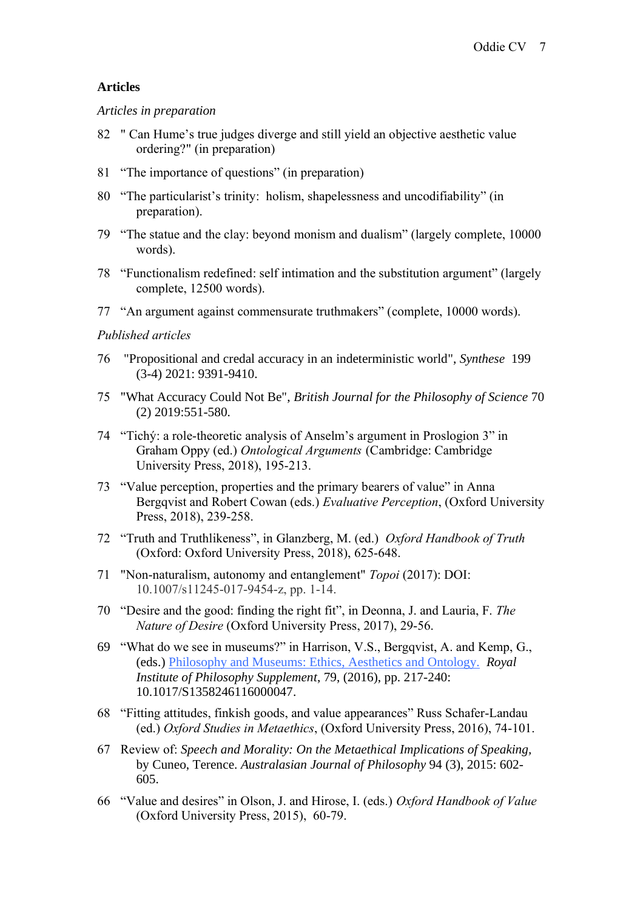#### **Articles**

#### *Articles in preparation*

- 82 " Can Hume's true judges diverge and still yield an objective aesthetic value ordering?" (in preparation)
- 81 "The importance of questions" (in preparation)
- 80 "The particularist's trinity: holism, shapelessness and uncodifiability" (in preparation).
- 79 "The statue and the clay: beyond monism and dualism" (largely complete, 10000 words).
- 78 "Functionalism redefined: self intimation and the substitution argument" (largely complete, 12500 words).
- 77 "An argument against commensurate truthmakers" (complete, 10000 words).

#### *Published articles*

- 76 "Propositional and credal accuracy in an indeterministic world", *Synthese* 199 (3-4) 2021: 9391-9410.
- 75 "What Accuracy Could Not Be", *British Journal for the Philosophy of Science* 70 (2) 2019:551-580.
- 74 "Tichý: a role-theoretic analysis of Anselm's argument in Proslogion 3" in Graham Oppy (ed.) *Ontological Arguments* (Cambridge: Cambridge University Press, 2018), 195-213.
- 73 "Value perception, properties and the primary bearers of value" in Anna Bergqvist and Robert Cowan (eds.) *Evaluative Perception*, (Oxford University Press, 2018), 239-258.
- 72 "Truth and Truthlikeness", in Glanzberg, M. (ed.) *Oxford Handbook of Truth*  (Oxford: Oxford University Press, 2018), 625-648.
- 71 "Non-naturalism, autonomy and entanglement" *Topoi* (2017): DOI: 10.1007/s11245-017-9454-z, pp. 1-14.
- 70 "Desire and the good: finding the right fit", in Deonna, J. and Lauria, F. *The Nature of Desire* (Oxford University Press, 2017), 29-56.
- 69 "What do we see in museums?" in Harrison, V.S., Bergqvist, A. and Kemp, G., (eds.) [Philosophy and Museums: Ethics, Aesthetics and Ontology.](http://eprints.gla.ac.uk/69046/) *Royal Institute of Philosophy Supplement*, 79, (2016), pp. 217-240: 10.1017/S1358246116000047.
- 68 "Fitting attitudes, finkish goods, and value appearances" Russ Schafer-Landau (ed.) *Oxford Studies in Metaethics*, (Oxford University Press, 2016), 74-101.
- 67 Review of: *Speech and Morality: On the Metaethical Implications of Speaking,* by Cuneo, Terence. *Australasian Journal of Philosophy* 94 (3), 2015: 602- 605.
- 66 "Value and desires" in Olson, J. and Hirose, I. (eds.) *Oxford Handbook of Value* (Oxford University Press, 2015), 60-79.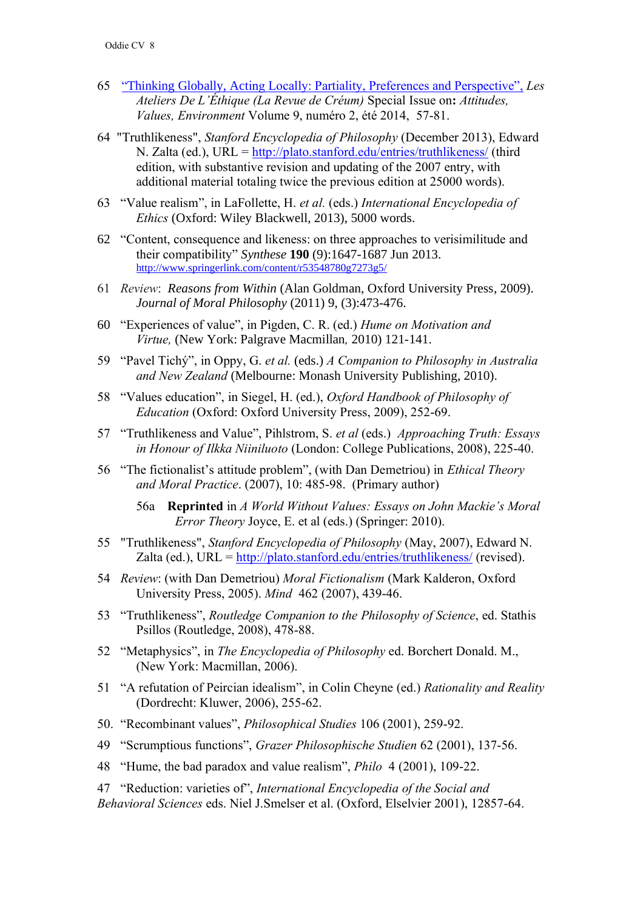- 65 "[Thinking Globally, Acting Locally: Partiality, Preferences and Perspective"](http://www.erudit.org/revue/ateliers/2014/v9/n2/index.html), *Les Ateliers De L'Éthique (La Revue de Créum)* Special Issue on**:** *Attitudes, Values, Environment* Volume 9, numéro 2, été 2014, 57-81.
- 64 "Truthlikeness", *Stanford Encyclopedia of Philosophy* (December 2013), Edward N. Zalta (ed.), URL =<http://plato.stanford.edu/entries/truthlikeness/> (third edition, with substantive revision and updating of the 2007 entry, with additional material totaling twice the previous edition at 25000 words).
- 63 "Value realism", in LaFollette, H. *et al.* (eds.) *International Encyclopedia of Ethics* (Oxford: Wiley Blackwell, 2013), 5000 words.
- 62 "Content, consequence and likeness: on three approaches to verisimilitude and their compatibility" *Synthese* **190** (9):1647-1687 Jun 2013. [http://www.springerlink.com/content/r53548780g7273g5/](https://exchangeweb.colorado.edu/owa/redir.aspx?C=d75deca4dab04c79aa307cbaaeaa54aa&URL=http%3a%2f%2fwww.springerlink.com%2fcontent%2fr53548780g7273g5%2f)
- 61 *Review*: *Reasons from Within* (Alan Goldman, Oxford University Press, 2009). *Journal of Moral Philosophy* (2011) 9, (3):473-476.
- 60 "Experiences of value", in Pigden, C. R. (ed.) *Hume on Motivation and Virtue,* (New York: Palgrave Macmillan*,* 2010) 121-141.
- 59 "Pavel Tichý", in Oppy, G. *et al.* (eds.) *A Companion to Philosophy in Australia and New Zealand* (Melbourne: Monash University Publishing, 2010).
- 58 "Values education", in Siegel, H. (ed.), *Oxford Handbook of Philosophy of Education* (Oxford: Oxford University Press, 2009), 252-69.
- 57 "Truthlikeness and Value", Pihlstrom, S. *et al* (eds.) *Approaching Truth: Essays in Honour of Ilkka Niiniluoto* (London: College Publications, 2008), 225-40.
- 56 "The fictionalist's attitude problem", (with Dan Demetriou) in *Ethical Theory and Moral Practice*. (2007), 10: 485-98. (Primary author)

56a **Reprinted** in *A World Without Values: Essays on John Mackie's Moral Error Theory* Joyce, E. et al (eds.) (Springer: 2010).

- 55 "Truthlikeness", *Stanford Encyclopedia of Philosophy* (May, 2007), Edward N. Zalta (ed.), URL =<http://plato.stanford.edu/entries/truthlikeness/> (revised).
- 54 *Review*: (with Dan Demetriou) *Moral Fictionalism* (Mark Kalderon, Oxford University Press, 2005). *Mind* 462 (2007), 439-46.
- 53 "Truthlikeness", *Routledge Companion to the Philosophy of Science*, ed. Stathis Psillos (Routledge, 2008), 478-88.
- 52 "Metaphysics", in *The Encyclopedia of Philosophy* ed. Borchert Donald. M., (New York: Macmillan, 2006).
- 51 "A refutation of Peircian idealism", in Colin Cheyne (ed.) *Rationality and Reality*  (Dordrecht: Kluwer, 2006), 255-62.
- 50. "Recombinant values", *Philosophical Studies* 106 (2001), 259-92.
- 49 "Scrumptious functions", *Grazer Philosophische Studien* 62 (2001), 137-56.
- 48 "Hume, the bad paradox and value realism", *Philo* 4 (2001), 109-22.
- 47 "Reduction: varieties of", *International Encyclopedia of the Social and Behavioral Sciences* eds. Niel J.Smelser et al. (Oxford, Elselvier 2001), 12857-64.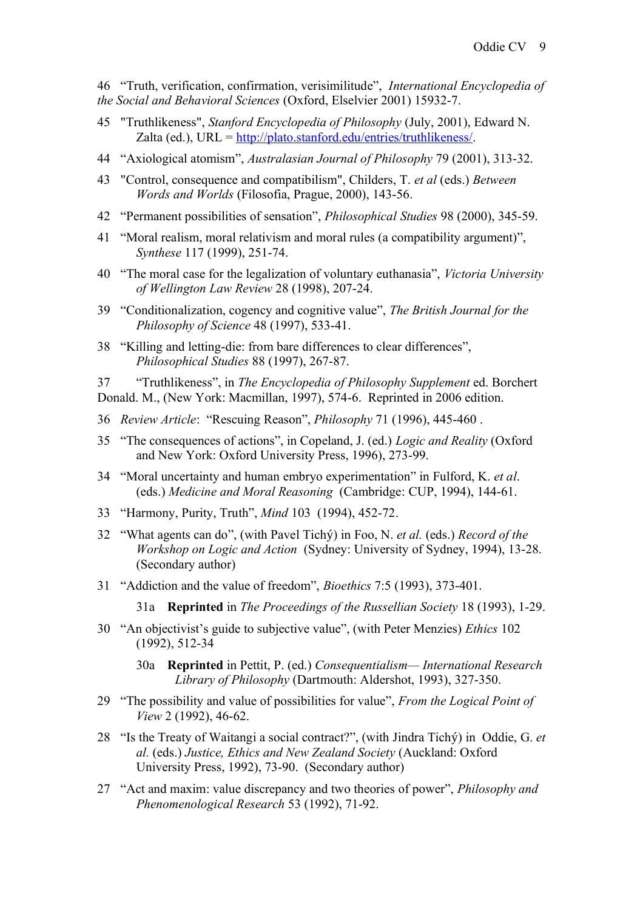46 "Truth, verification, confirmation, verisimilitude", *International Encyclopedia of the Social and Behavioral Sciences* (Oxford, Elselvier 2001) 15932-7.

- 45 "Truthlikeness", *Stanford Encyclopedia of Philosophy* (July, 2001), Edward N. Zalta (ed.),  $URL = \frac{http://plate.stanford.edu/entries/truthlikeness/$ .
- 44 "Axiological atomism", *Australasian Journal of Philosophy* 79 (2001), 313-32.
- 43 "Control, consequence and compatibilism", Childers, T. *et al* (eds.) *Between Words and Worlds* (Filosofia, Prague, 2000), 143-56.
- 42 "Permanent possibilities of sensation", *Philosophical Studies* 98 (2000), 345-59.
- 41 "Moral realism, moral relativism and moral rules (a compatibility argument)", *Synthese* 117 (1999), 251-74.
- 40 "The moral case for the legalization of voluntary euthanasia", *Victoria University of Wellington Law Review* 28 (1998), 207-24.
- 39 "Conditionalization, cogency and cognitive value", *The British Journal for the Philosophy of Science* 48 (1997), 533-41.
- 38 "Killing and letting-die: from bare differences to clear differences", *Philosophical Studies* 88 (1997), 267-87.

37 "Truthlikeness", in *The Encyclopedia of Philosophy Supplement* ed. Borchert Donald. M., (New York: Macmillan, 1997), 574-6. Reprinted in 2006 edition.

- 36 *Review Article*: "Rescuing Reason", *Philosophy* 71 (1996), 445-460 .
- 35 "The consequences of actions", in Copeland, J. (ed.) *Logic and Reality* (Oxford and New York: Oxford University Press, 1996), 273-99.
- 34 "Moral uncertainty and human embryo experimentation" in Fulford, K. *et al*. (eds.) *Medicine and Moral Reasoning* (Cambridge: CUP, 1994), 144-61.
- 33 "Harmony, Purity, Truth", *Mind* 103 (1994), 452-72.
- 32 "What agents can do", (with Pavel Tichý) in Foo, N. *et al.* (eds.) *Record of the Workshop on Logic and Action* (Sydney: University of Sydney, 1994), 13-28. (Secondary author)
- 31 "Addiction and the value of freedom", *Bioethics* 7:5 (1993), 373-401.
	- 31a **Reprinted** in *The Proceedings of the Russellian Society* 18 (1993), 1-29.
- 30 "An objectivist's guide to subjective value", (with Peter Menzies) *Ethics* 102 (1992), 512-34

30a **Reprinted** in Pettit, P. (ed.) *Consequentialism— International Research Library of Philosophy* (Dartmouth: Aldershot, 1993), 327-350.

- 29 "The possibility and value of possibilities for value", *From the Logical Point of View* 2 (1992), 46-62.
- 28 "Is the Treaty of Waitangi a social contract?", (with Jindra Tichý) in Oddie, G. *et al.* (eds.) *Justice, Ethics and New Zealand Society* (Auckland: Oxford University Press, 1992), 73-90. (Secondary author)
- 27 "Act and maxim: value discrepancy and two theories of power", *Philosophy and Phenomenological Research* 53 (1992), 71-92.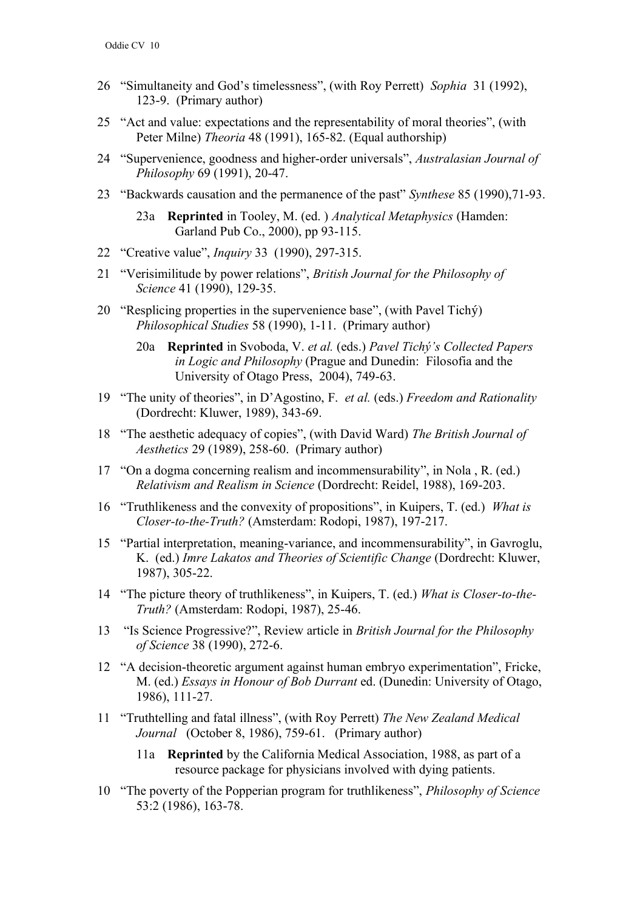- 26 "Simultaneity and God's timelessness", (with Roy Perrett) *Sophia* 31 (1992), 123-9. (Primary author)
- 25 "Act and value: expectations and the representability of moral theories", (with Peter Milne) *Theoria* 48 (1991), 165-82. (Equal authorship)
- 24 "Supervenience, goodness and higher-order universals", *Australasian Journal of Philosophy* 69 (1991), 20-47.
- 23 "Backwards causation and the permanence of the past" *Synthese* 85 (1990),71-93.
	- 23a **Reprinted** in Tooley, M. (ed. ) *Analytical Metaphysics* (Hamden: Garland Pub Co., 2000), pp 93-115.
- 22 "Creative value", *Inquiry* 33 (1990), 297-315.
- 21 "Verisimilitude by power relations", *British Journal for the Philosophy of Science* 41 (1990), 129-35.
- 20 "Resplicing properties in the supervenience base", (with Pavel Tichý) *Philosophical Studies* 58 (1990), 1-11. (Primary author)
	- 20a **Reprinted** in Svoboda, V. *et al.* (eds.) *Pavel Tichý's Collected Papers in Logic and Philosophy* (Prague and Dunedin: Filosofia and the University of Otago Press, 2004), 749-63.
- 19 "The unity of theories", in D'Agostino, F. *et al.* (eds.) *Freedom and Rationality* (Dordrecht: Kluwer, 1989), 343-69.
- 18 "The aesthetic adequacy of copies", (with David Ward) *The British Journal of Aesthetics* 29 (1989), 258-60. (Primary author)
- 17 "On a dogma concerning realism and incommensurability", in Nola , R. (ed.) *Relativism and Realism in Science* (Dordrecht: Reidel, 1988), 169-203.
- 16 "Truthlikeness and the convexity of propositions", in Kuipers, T. (ed.) *What is Closer-to-the-Truth?* (Amsterdam: Rodopi, 1987), 197-217.
- 15 "Partial interpretation, meaning-variance, and incommensurability", in Gavroglu, K. (ed.) *Imre Lakatos and Theories of Scientific Change* (Dordrecht: Kluwer, 1987), 305-22.
- 14 "The picture theory of truthlikeness", in Kuipers, T. (ed.) *What is Closer-to-the-Truth?* (Amsterdam: Rodopi, 1987), 25-46.
- 13 "Is Science Progressive?", Review article in *British Journal for the Philosophy of Science* 38 (1990), 272-6.
- 12 "A decision-theoretic argument against human embryo experimentation", Fricke, M. (ed.) *Essays in Honour of Bob Durrant* ed. (Dunedin: University of Otago, 1986), 111-27.
- 11 "Truthtelling and fatal illness", (with Roy Perrett) *The New Zealand Medical Journal* (October 8, 1986), 759-61. (Primary author)
	- 11a **Reprinted** by the California Medical Association, 1988, as part of a resource package for physicians involved with dying patients.
- 10 "The poverty of the Popperian program for truthlikeness", *Philosophy of Science* 53:2 (1986), 163-78.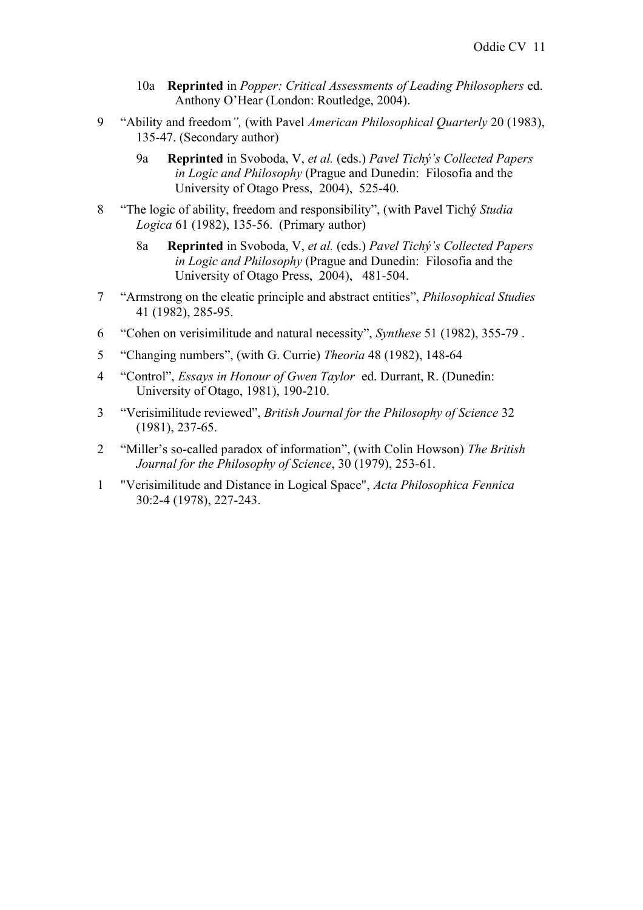- 10a **Reprinted** in *Popper: Critical Assessments of Leading Philosophers* ed. Anthony O'Hear (London: Routledge, 2004).
- 9 "Ability and freedom*",* (with Pavel *American Philosophical Quarterly* 20 (1983), 135-47. (Secondary author)
	- 9a **Reprinted** in Svoboda, V, *et al.* (eds.) *Pavel Tichý's Collected Papers in Logic and Philosophy* (Prague and Dunedin: Filosofia and the University of Otago Press, 2004), 525-40.
- 8 "The logic of ability, freedom and responsibility", (with Pavel Tichý *Studia Logica* 61 (1982), 135-56. (Primary author)
	- 8a **Reprinted** in Svoboda, V, *et al.* (eds.) *Pavel Tichý's Collected Papers in Logic and Philosophy* (Prague and Dunedin: Filosofia and the University of Otago Press, 2004), 481-504.
- 7 "Armstrong on the eleatic principle and abstract entities", *Philosophical Studies* 41 (1982), 285-95.
- 6 "Cohen on verisimilitude and natural necessity", *Synthese* 51 (1982), 355-79 .
- 5 "Changing numbers", (with G. Currie) *Theoria* 48 (1982), 148-64
- 4 "Control", *Essays in Honour of Gwen Taylor* ed. Durrant, R. (Dunedin: University of Otago, 1981), 190-210.
- 3 "Verisimilitude reviewed", *British Journal for the Philosophy of Science* 32 (1981), 237-65.
- 2 "Miller's so-called paradox of information", (with Colin Howson) *The British Journal for the Philosophy of Science*, 30 (1979), 253-61.
- 1 "Verisimilitude and Distance in Logical Space", *Acta Philosophica Fennica* 30:2-4 (1978), 227-243.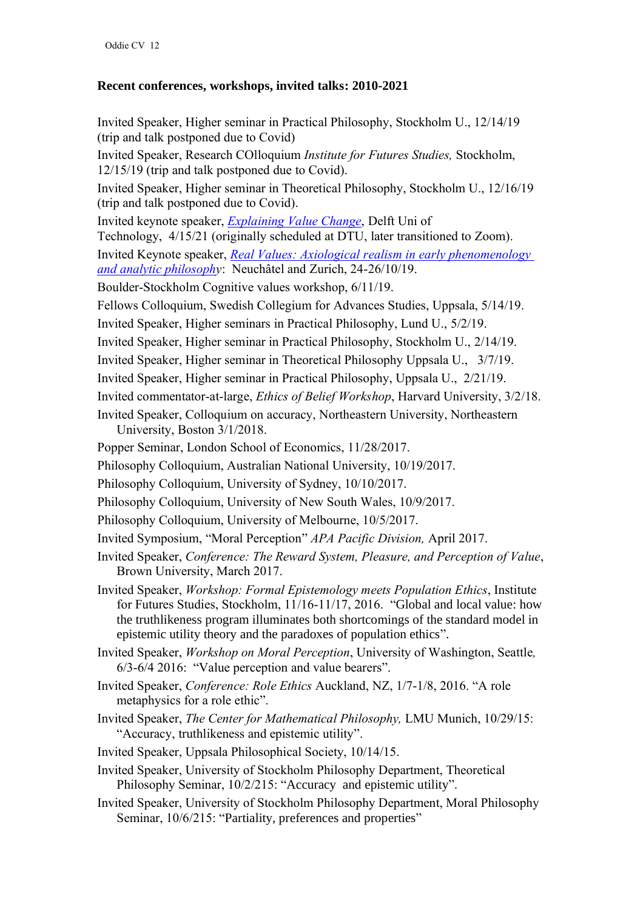#### **Recent conferences, workshops, invited talks: 2010-2021**

Invited Speaker, Higher seminar in Practical Philosophy, Stockholm U., 12/14/19 (trip and talk postponed due to Covid)

Invited Speaker, Research COlloquium *Institute for Futures Studies,* Stockholm, 12/15/19 (trip and talk postponed due to Covid).

Invited Speaker, Higher seminar in Theoretical Philosophy, Stockholm U., 12/16/19 (trip and talk postponed due to Covid).

Invited keynote speaker, *[Explaining Value Change](https://www.valuechange.eu/event/workshop-explaining-value-change/)*, Delft Uni of Technology, 4/15/21 (originally scheduled at DTU, later transitioned to Zoom). Invited Keynote speaker, *[Real Values: Axiological realism in early phenomenology](https://www.unine.ch/files/live/sites/philo/files/shared/documents/Colloques%2c%20Workshop/Real%20Values%20octobre%202019/affiche%20Real%20Values%20WEB.pdf)  and [analytic philosophy](https://www.unine.ch/files/live/sites/philo/files/shared/documents/Colloques%2c%20Workshop/Real%20Values%20octobre%202019/affiche%20Real%20Values%20WEB.pdf)*: Neuchâtel and Zurich, 24-26/10/19.

Boulder-Stockholm Cognitive values workshop, 6/11/19.

Fellows Colloquium, Swedish Collegium for Advances Studies, Uppsala, 5/14/19.

Invited Speaker, Higher seminars in Practical Philosophy, Lund U., 5/2/19.

Invited Speaker, Higher seminar in Practical Philosophy, Stockholm U., 2/14/19.

Invited Speaker, Higher seminar in Theoretical Philosophy Uppsala U., 3/7/19.

Invited Speaker, Higher seminar in Practical Philosophy, Uppsala U., 2/21/19.

Invited commentator-at-large, *Ethics of Belief Workshop*, Harvard University, 3/2/18.

Invited Speaker, Colloquium on accuracy, Northeastern University, Northeastern University, Boston 3/1/2018.

Popper Seminar, London School of Economics, 11/28/2017.

Philosophy Colloquium, Australian National University, 10/19/2017.

Philosophy Colloquium, University of Sydney, 10/10/2017.

Philosophy Colloquium, University of New South Wales, 10/9/2017.

Philosophy Colloquium, University of Melbourne, 10/5/2017.

Invited Symposium, "Moral Perception" *APA Pacific Division,* April 2017.

- Invited Speaker, *Conference: The Reward System, Pleasure, and Perception of Value*, Brown University, March 2017.
- Invited Speaker, *Workshop: Formal Epistemology meets Population Ethics*, Institute for Futures Studies, Stockholm, 11/16-11/17, 2016. "Global and local value: how the truthlikeness program illuminates both shortcomings of the standard model in epistemic utility theory and the paradoxes of population ethics".

Invited Speaker, *Workshop on Moral Perception*, University of Washington, Seattle*,*  6/3-6/4 2016: "Value perception and value bearers".

- Invited Speaker, *Conference: Role Ethics* Auckland, NZ, 1/7-1/8, 2016. "A role metaphysics for a role ethic".
- Invited Speaker, *The Center for Mathematical Philosophy,* LMU Munich, 10/29/15: "Accuracy, truthlikeness and epistemic utility".

Invited Speaker, Uppsala Philosophical Society, 10/14/15.

- Invited Speaker, University of Stockholm Philosophy Department, Theoretical Philosophy Seminar, 10/2/215: "Accuracy and epistemic utility".
- Invited Speaker, University of Stockholm Philosophy Department, Moral Philosophy Seminar,  $10/6/215$ : "Partiality, preferences and properties"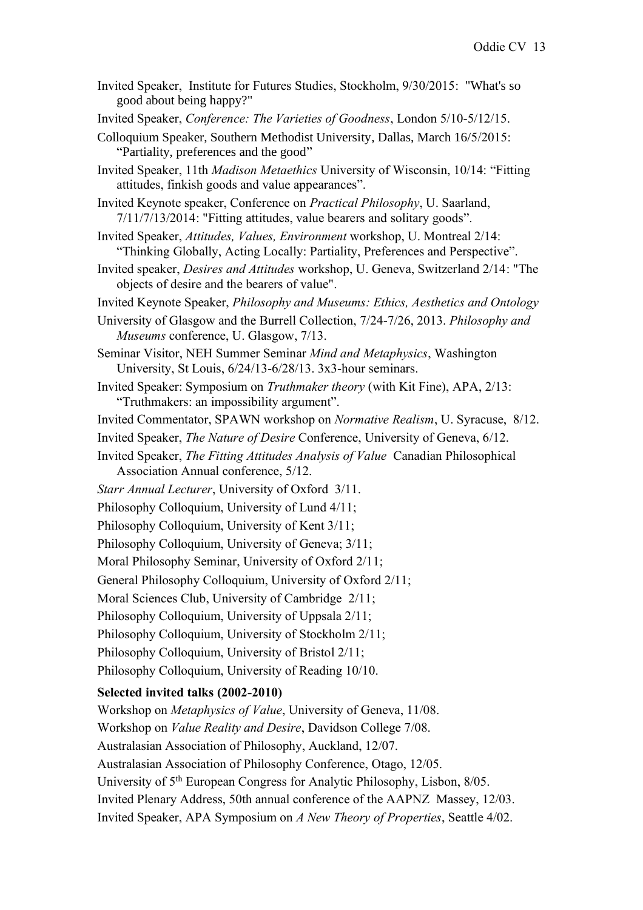- Invited Speaker, Institute for Futures Studies, Stockholm, 9/30/2015: "What's so good about being happy?"
- Invited Speaker, *Conference: The Varieties of Goodness*, London 5/10-5/12/15.
- Colloquium Speaker, Southern Methodist University, Dallas, March 16/5/2015: "Partiality, preferences and the good"
- Invited Speaker, 11th *Madison Metaethics* University of Wisconsin, 10/14: "Fitting attitudes, finkish goods and value appearances".

Invited Keynote speaker, Conference on *Practical Philosophy*, U. Saarland, 7/11/7/13/2014: "Fitting attitudes, value bearers and solitary goods".

- Invited Speaker, *Attitudes, Values, Environment* workshop, U. Montreal 2/14: "Thinking Globally, Acting Locally: Partiality, Preferences and Perspective".
- Invited speaker, *Desires and Attitudes* workshop, U. Geneva, Switzerland 2/14: "The objects of desire and the bearers of value".
- Invited Keynote Speaker, *Philosophy and Museums: Ethics, Aesthetics and Ontology*
- University of Glasgow and the Burrell Collection, 7/24-7/26, 2013. *Philosophy and Museums* conference, U. Glasgow, 7/13.
- Seminar Visitor, NEH Summer Seminar *Mind and Metaphysics*, Washington University, St Louis, 6/24/13-6/28/13. 3x3-hour seminars.
- Invited Speaker: Symposium on *Truthmaker theory* (with Kit Fine), APA, 2/13: "Truthmakers: an impossibility argument".
- Invited Commentator, SPAWN workshop on *Normative Realism*, U. Syracuse, 8/12.
- Invited Speaker, *The Nature of Desire* Conference, University of Geneva, 6/12.
- Invited Speaker, *The Fitting Attitudes Analysis of Value* Canadian Philosophical Association Annual conference, 5/12.
- *Starr Annual Lecturer*, University of Oxford 3/11.

Philosophy Colloquium, University of Lund 4/11;

Philosophy Colloquium, University of Kent 3/11;

Philosophy Colloquium, University of Geneva; 3/11;

Moral Philosophy Seminar, University of Oxford 2/11;

General Philosophy Colloquium, University of Oxford 2/11;

Moral Sciences Club, University of Cambridge 2/11;

Philosophy Colloquium, University of Uppsala 2/11;

Philosophy Colloquium, University of Stockholm 2/11;

Philosophy Colloquium, University of Bristol 2/11;

Philosophy Colloquium, University of Reading 10/10.

### **Selected invited talks (2002-2010)**

Workshop on *Metaphysics of Value*, University of Geneva, 11/08.

Workshop on *Value Reality and Desire*, Davidson College 7/08.

Australasian Association of Philosophy, Auckland, 12/07.

Australasian Association of Philosophy Conference, Otago, 12/05.

University of 5<sup>th</sup> European Congress for Analytic Philosophy, Lisbon, 8/05.

Invited Plenary Address, 50th annual conference of the AAPNZ Massey, 12/03.

Invited Speaker, APA Symposium on *A New Theory of Properties*, Seattle 4/02.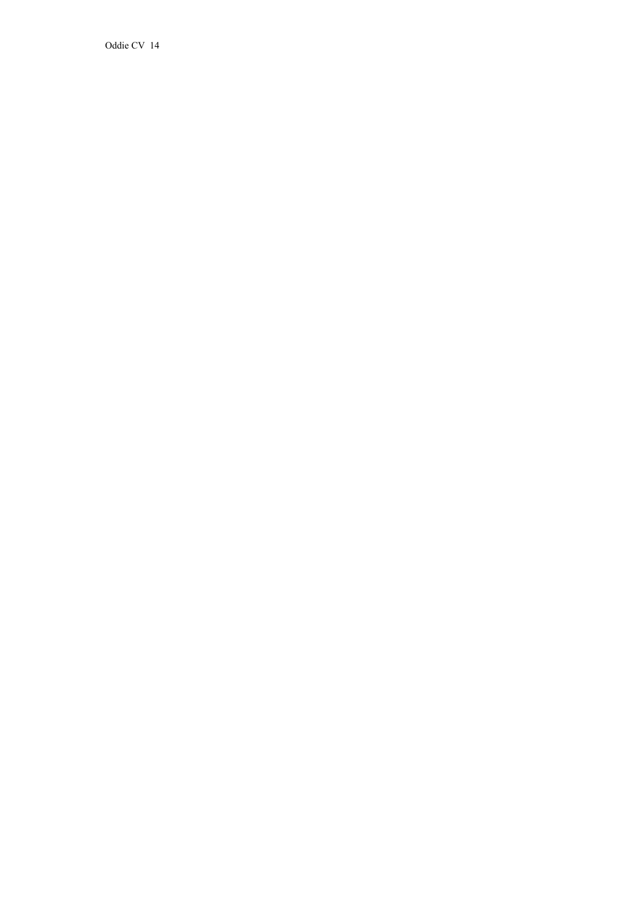Oddie CV 14